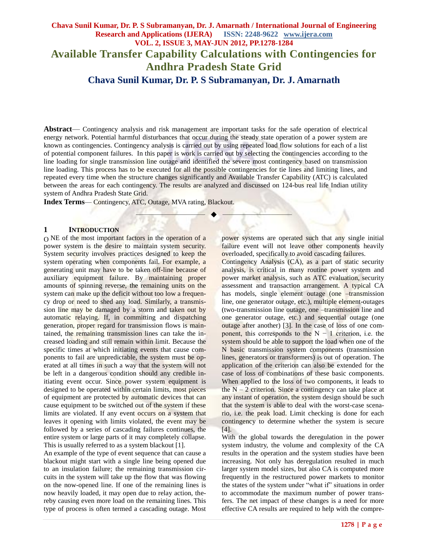# **Chava Sunil Kumar, Dr. P. S Subramanyan, Dr. J. Amarnath / International Journal of Engineering Research and Applications (IJERA) ISSN: 2248-9622 www.ijera.com VOL. 2, ISSUE 3, MAY-JUN 2012, PP.1278-1284 Available Transfer Capability Calculations with Contingencies for Andhra Pradesh State Grid Chava Sunil Kumar, Dr. P. S Subramanyan, Dr. J. Amarnath**

**Abstract**— Contingency analysis and risk management are important tasks for the safe operation of electrical energy network. Potential harmful disturbances that occur during the steady state operation of a power system are known as contingencies. Contingency analysis is carried out by using repeated load flow solutions for each of a list of potential component failures. In this paper is work is carried out by selecting the contingencies according to the line loading for single transmission line outage and identified the severe most contingency based on transmission line loading. This process has to be executed for all the possible contingencies for tie lines and limiting lines, and repeated every time when the structure changes significantly and Available Transfer Capability (ATC) is calculated between the areas for each contingency. The results are analyzed and discussed on 124-bus real life Indian utility system of Andhra Pradesh State Grid.

—————————— ——————————

**Index Terms**— Contingency, ATC, Outage, MVA rating, Blackout.

#### **1 INTRODUCTION**

O NE of the most important factors in the operation of a power system is the desire to maintain system security. System security involves practices designed to keep the system operating when components fail. For example, a generating unit may have to be taken off-line because of auxiliary equipment failure. By maintaining proper amounts of spinning reverse, the remaining units on the system can make up the deficit without too low a frequency drop or need to shed any load. Similarly, a transmission line may be damaged by a storm and taken out by automatic relaying. If, in committing and dispatching generation, proper regard for transmission flows is maintained, the remaining transmission lines can take the increased loading and still remain within limit. Because the specific times at which initiating events that cause components to fail are unpredictable, the system must be operated at all times in such a way that the system will not be left in a dangerous condition should any credible initiating event occur. Since power system equipment is designed to be operated within certain limits, most pieces of equipment are protected by automatic devices that can cause equipment to be switched out of the system if these limits are violated. If any event occurs on a system that leaves it opening with limits violated, the event may be followed by a series of cascading failures continues, the entire system or large parts of it may completely collapse. This is usually referred to as a system blackout [1].

An example of the type of event sequence that can cause a blackout might start with a single line being opened due to an insulation failure; the remaining transmission circuits in the system will take up the flow that was flowing on the now-opened line. If one of the remaining lines is now heavily loaded, it may open due to relay action, thereby causing even more load on the remaining lines. This type of process is often termed a cascading outage. Most

power systems are operated such that any single initial failure event will not leave other components heavily overloaded, specifically to avoid cascading failures.

Contingency Analysis (CA), as a part of static security analysis, is critical in many routine power system and power market analysis, such as ATC evaluation, security assessment and transaction arrangement. A typical CA has models, single element outage (one -transmission line, one generator outage, etc.), multiple element-outages (two-transmission line outage, one –transmission line and one generator outage, etc.) and sequential outage (one outage after another) [3]. In the case of loss of one component, this corresponds to the  $N - 1$  criterion, i.e. the system should be able to support the load when one of the N basic transmission system components (transmission lines, generators or transformers) is out of operation. The application of the criterion can also be extended for the case of loss of combinations of these basic components. When applied to the loss of two components, it leads to the  $N - 2$  criterion. Since a contingency can take place at any instant of operation, the system design should be such that the system is able to deal with the worst-case scenario, i.e. the peak load. Limit checking is done for each contingency to determine whether the system is secure [4].

With the global towards the deregulation in the power system industry, the volume and complexity of the CA results in the operation and the system studies have been increasing. Not only has deregulation resulted in much larger system model sizes, but also CA is computed more frequently in the restructured power markets to monitor the states of the system under "what if" situations in order to accommodate the maximum number of power transfers. The net impact of these changes is a need for more effective CA results are required to help with the compre-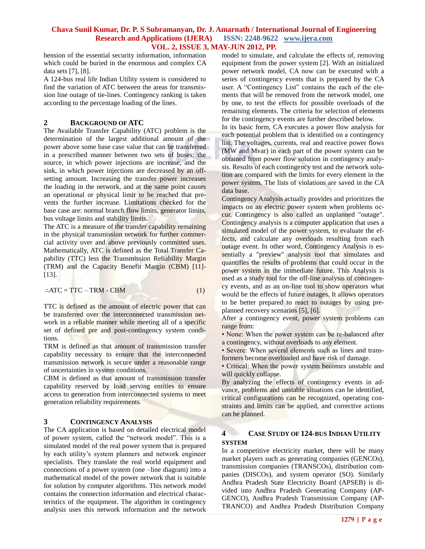hension of the essential security information, information which could be buried in the enormous and complex CA data sets [7], [8].

A 124-bus real life Indian Utility system is considered to find the variation of ATC between the areas for transmission line outage of tie-lines. Contingency ranking is taken according to the percentage loading of the lines.

### **2 BACKGROUND OF ATC**

The Available Transfer Capability (ATC) problem is the determination of the largest additional amount of the power above some base case value that can be transferred in a prescribed manner between two sets of buses; the source, in which power injections are increase, and the sink, in which power injections are decreased by an offsetting amount. Increasing the transfer power increases the loading in the network, and at the same point causes an operational or physical limit to be reached that prevents the further increase. Limitations checked for the base case are: normal branch flow limits, generator limits, bus voltage limits and stability limits.

The ATC is a measure of the transfer capability remaining in the physical transmission network for further commercial activity over and above previously committed uses. Mathematically, ATC is defined as the Total Transfer Capability (TTC) less the Transmission Reliability Margin (TRM) and the Capacity Benefit Margin (CBM) [11]- [13].

$$
\therefore \text{ATC} = \text{TTC} - \text{TRM} - \text{CBM} \tag{1}
$$

TTC is defined as the amount of electric power that can be transferred over the interconnected transmission network in a reliable manner while meeting all of a specific set of defined pre and post-contingency system conditions.

TRM is defined as that amount of transmission transfer capability necessary to ensure that the interconnected transmission network is secure under a reasonable range of uncertainties in system conditions.

CBM is defined as that amount of transmission transfer capability reserved by load serving entities to ensure access to generation from interconnected systems to meet generation reliability requirements.

### **3 CONTINGENCY ANALYSIS**

The CA application is based on detailed electrical model of power system, called the "network model". This is a simulated model of the real power system that is prepared by each utility's system planners and network engineer specialists. They translate the real world equipment and connections of a power system (one –line diagram) into a mathematical model of the power network that is suitable for solution by computer algorithms. This network model contains the connection information and electrical characteristics of the equipment. The algorithm in contingency analysis uses this network information and the network

model to simulate, and calculate the effects of, removing equipment from the power system [2]. With an initialized power network model, CA now can be executed with a series of contingency events that is prepared by the CA user. A "Contingency List" contains the each of the elements that will be removed from the network model, one by one, to test the effects for possible overloads of the remaining elements. The criteria for selection of elements for the contingency events are further described below.

In its basic form, CA executes a power flow analysis for each potential problem that is identified on a contingency list. The voltages, currents, real and reactive power flows (MW and Mvar) in each part of the power system can be obtained from power flow solution in contingency analysis. Results of each contingency test and the network solution are compared with the limits for every element in the power system. The lists of violations are saved in the CA data base.

Contingency Analysis actually provides and prioritizes the impacts on an electric power system when problems occur. Contingency is also called an unplanned "outage". Contingency analysis is a computer application that uses a simulated model of the power system, to evaluate the effects, and calculate any overloads resulting from each outage event. In other word, Contingency Analysis is essentially a "preview" analysis tool that simulates and quantifies the results of problems that could occur in the power system in the immediate future. This Analysis is used as a study tool for the off-line analysis of contingency events, and as an on-line tool to show operators what would be the effects of future outages. It allows operators to be better prepared to react to outages by using preplanned recovery scenarios [5], [6].

After a contingency event, power system problems can range from:

• None: When the power system can be re-balanced after a contingency, without overloads to any element.

• Severe: When several elements such as lines and transformers become overloaded and have risk of damage.

• Critical: When the power system becomes unstable and will quickly collapse.

By analyzing the effects of contingency events in advance, problems and unstable situations can be identified, critical configurations can be recognized, operating constraints and limits can be applied, and corrective actions can be planned.

### **4 CASE STUDY OF 124-BUS INDIAN UTILITY SYSTEM**

In a competitive electricity market, there will be many market players such as generating companies (GENCOs), transmission companies (TRANSCOs), distribution companies (DISCOs), and system operator (SO). Similarly Andhra Pradesh State Electricity Board (APSEB) is divided into Andhra Pradesh Generating Company (AP-GENCO), Andhra Pradesh Transmission Company (AP-TRANCO) and Andhra Pradesh Distribution Company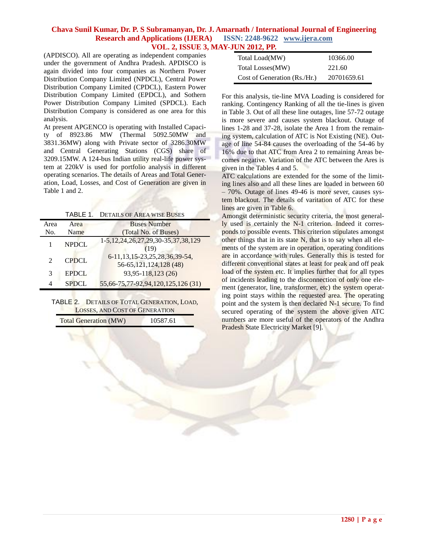(APDISCO). All are operating as independent companies under the government of Andhra Pradesh. APDISCO is again divided into four companies as Northern Power Distribution Company Limited (NPDCL), Central Power Distribution Company Limited (CPDCL), Eastern Power Distribution Company Limited (EPDCL), and Sothern Power Distribution Company Limited (SPDCL). Each Distribution Company is considered as one area for this analysis.

At present APGENCO is operating with Installed Capacity of 8923.86 MW (Thermal 5092.50MW and 3831.36MW) along with Private sector of 3286.30MW and Central Generating Stations (CGS) share of 3209.15MW. A 124-bus Indian utility real-life power system at 220kV is used for portfolio analysis in different operating scenarios. The details of Areas and Total Generation, Load, Losses, and Cost of Generation are given in Table 1 and 2.

|  | <b>TABLE 1. DETAILS OF AREA WISE BUSES</b> |  |  |  |  |
|--|--------------------------------------------|--|--|--|--|
|--|--------------------------------------------|--|--|--|--|

| Area                        | Area         | <b>Buses Number</b>                                              |
|-----------------------------|--------------|------------------------------------------------------------------|
| No.                         | Name         | (Total No. of Buses)                                             |
|                             | <b>NPDCL</b> | 1-5, 12, 24, 26, 27, 29, 30 - 35, 37, 38, 129<br>(19)            |
| $\mathcal{D}_{\mathcal{L}}$ | <b>CPDCL</b> | 6-11, 13, 15-23, 25, 28, 36, 39-54,<br>56-65, 121, 124, 128 (48) |
| 3                           | <b>EPDCL</b> | 93,95-118,123 (26)                                               |
|                             | <b>SPDCL</b> | 55,66-75,77-92,94,120,125,126 (31)                               |

TABLE 2. DETAILS OF TOTAL GENERATION, LOAD, LOSSES, AND COST OF GENERATION Total <sub>O</sub>

| Generation (MW)<br>10587.61 |
|-----------------------------|
|-----------------------------|

| Total Load(MW)               | 10366.00    |
|------------------------------|-------------|
| Total Losses(MW)             | 221.60      |
| Cost of Generation (Rs./Hr.) | 20701659.61 |

For this analysis, tie-line MVA Loading is considered for ranking. Contingency Ranking of all the tie-lines is given in Table 3. Out of all these line outages, line 57-72 outage is more severe and causes system blackout. Outage of lines 1-28 and 37-28, isolate the Area 1 from the remaining system, calculation of ATC is Not Existing (NE). Outage of line 54-84 causes the overloading of the 54-46 by 16% due to that ATC from Area 2 to remaining Areas becomes negative. Variation of the ATC between the Ares is given in the Tables 4 and 5.

ATC calculations are extended for the some of the limiting lines also and all these lines are loaded in between 60 – 70%. Outage of lines 49-46 is more sever, causes system blackout. The details of varitation of ATC for these lines are given in Table 6.

Amongst deterministic security criteria, the most generally used is certainly the N-1 criterion. Indeed it corresponds to possible events. This criterion stipulates amongst other things that in its state N, that is to say when all elements of the system are in operation, operating conditions are in accordance with rules. Generally this is tested for different conventional states at least for peak and off peak load of the system etc. It implies further that for all types of incidents leading to the disconnection of only one element (generator, line, transformer, etc) the system operating point stays within the requested area. The operating point and the system is then declared N-1 secure. To find secured operating of the system the above given ATC numbers are more useful of the operators of the Andhra Pradesh State Electricity Market [9].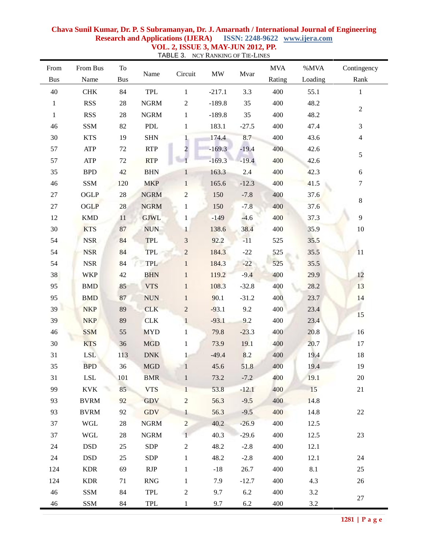| From         | From Bus    | To         |              |                |                                 |         | <b>MVA</b> | %MVA    | Contingency    |
|--------------|-------------|------------|--------------|----------------|---------------------------------|---------|------------|---------|----------------|
| <b>Bus</b>   | Name        | <b>Bus</b> | Name         | Circuit        | $\ensuremath{\text{MW}}\xspace$ | Mvar    | Rating     | Loading | Rank           |
| 40           | <b>CHK</b>  | 84         | TPL          | $\mathbf{1}$   | $-217.1$                        | 3.3     | 400        | 55.1    | $\mathbf{1}$   |
| $\mathbf{1}$ | <b>RSS</b>  | $28\,$     | <b>NGRM</b>  | $\sqrt{2}$     | $-189.8$                        | 35      | 400        | 48.2    |                |
| $\mathbf{1}$ | <b>RSS</b>  | $28\,$     | <b>NGRM</b>  | $\mathbf{1}$   | $-189.8$                        | 35      | 400        | 48.2    | $\sqrt{2}$     |
| 46           | <b>SSM</b>  | 82         | PDL          | $\mathbf{1}$   | 183.1                           | $-27.5$ | 400        | 47.4    | $\mathfrak{Z}$ |
| 30           | <b>KTS</b>  | 19         | <b>SHN</b>   | $\mathbf{1}$   | 174.4                           | 8.7     | 400        | 43.6    | $\overline{4}$ |
| 57           | ATP         | 72         | <b>RTP</b>   | 2              | $-169.3$                        | $-19.4$ | 400        | 42.6    |                |
| 57           | ATP         | $72\,$     | <b>RTP</b>   |                | $-169.3$                        | $-19.4$ | 400        | 42.6    | $\sqrt{5}$     |
| 35           | <b>BPD</b>  | 42         | <b>BHN</b>   | $\mathbf{1}$   | 163.3                           | 2.4     | 400        | 42.3    | 6              |
| 46           | <b>SSM</b>  | 120        | <b>MKP</b>   | $\mathbf{1}$   | 165.6                           | $-12.3$ | 400        | 41.5    | 7              |
| $27\,$       | OGLP        | $28\,$     | <b>NGRM</b>  | $\overline{c}$ | 150                             | $-7.8$  | 400        | 37.6    |                |
| $27\,$       | <b>OGLP</b> | $28\,$     | <b>NGRM</b>  | $\mathbf{1}$   | 150                             | $-7.8$  | 400        | 37.6    | $\,8\,$        |
| 12           | <b>KMD</b>  | 11         | <b>GJWL</b>  | $\mathbf{1}$   | $-149$                          | $-4.6$  | 400        | 37.3    | 9              |
| 30           | <b>KTS</b>  | 87         | <b>NUN</b>   | $\mathbf{1}$   | 138.6                           | 38.4    | 400        | 35.9    | $10\,$         |
| 54           | <b>NSR</b>  | 84         | <b>TPL</b>   | $\mathfrak{Z}$ | 92.2                            | $-11$   | 525        | 35.5    |                |
| 54           | <b>NSR</b>  | 84         | TPL          | $\sqrt{2}$     | 184.3                           | $-22$   | 525        | 35.5    | 11             |
| 54           | <b>NSR</b>  | 84         | TPL          | $\mathbf{1}$   | 184.3                           | $-22$   | 525        | 35.5    |                |
| 38           | <b>WKP</b>  | 42         | <b>BHN</b>   | $\mathbf{1}$   | 119.2                           | $-9.4$  | 400        | 29.9    | 12             |
| 95           | <b>BMD</b>  | 85         | <b>VTS</b>   | $\mathbf{1}$   | 108.3                           | $-32.8$ | 400        | 28.2    | 13             |
| 95           | <b>BMD</b>  | 87         | <b>NUN</b>   | $\mathbf{1}$   | 90.1                            | $-31.2$ | 400        | 23.7    | 14             |
| 39           | <b>NKP</b>  | 89         | <b>CLK</b>   | $\overline{2}$ | $-93.1$                         | 9.2     | 400        | 23.4    |                |
| 39           | <b>NKP</b>  | 89         | <b>CLK</b>   | $\mathbf{1}$   | $-93.1$                         | 9.2     | 400        | 23.4    | 15             |
| 46           | <b>SSM</b>  | 55         | <b>MYD</b>   | $\mathbf{1}$   | 79.8                            | $-23.3$ | 400        | 20.8    | 16             |
| $30\,$       | <b>KTS</b>  | 36         | <b>MGD</b>   | $\mathbf{1}$   | 73.9                            | 19.1    | 400        | 20.7    | 17             |
| 31           | <b>LSL</b>  | 113        | <b>DNK</b>   | $\mathbf{1}$   | $-49.4$                         | 8.2     | 400        | 19.4    | 18             |
| 35           | <b>BPD</b>  | 36         | <b>MGD</b>   | $\mathbf{1}$   | 45.6                            | 51.8    | 400        | 19.4    | 19             |
| 31           | ${\rm LSL}$ | 101        | <b>BMR</b>   | $\mathbf{1}$   | 73.2                            | $-7.2$  | 400        | 19.1    | 20             |
| 99           | <b>KVK</b>  | 85         | <b>VTS</b>   | $\mathbf{1}$   | 53.8                            | $-12.1$ | 400        | 15      | 21             |
| 93           | <b>BVRM</b> | 92         | GDV          | $\overline{2}$ | 56.3                            | $-9.5$  | 400        | 14.8    |                |
| 93           | <b>BVRM</b> | 92         | <b>GDV</b>   | $\mathbf{1}$   | 56.3                            | $-9.5$  | 400        | 14.8    | 22             |
| 37           | WGL         | 28         | <b>NGRM</b>  | $\overline{2}$ | 40.2                            | $-26.9$ | 400        | 12.5    |                |
| 37           | WGL         | 28         | ${\rm NGRM}$ | 1              | 40.3                            | $-29.6$ | 400        | 12.5    | 23             |
| 24           | <b>DSD</b>  | 25         | <b>SDP</b>   | $\overline{2}$ | 48.2                            | $-2.8$  | 400        | 12.1    |                |
| 24           | <b>DSD</b>  | 25         | <b>SDP</b>   | $\mathbf{1}$   | 48.2                            | $-2.8$  | 400        | 12.1    | 24             |
| 124          | <b>KDR</b>  | 69         | RJP          | $\mathbf{1}$   | $-18$                           | 26.7    | 400        | 8.1     | 25             |
| 124          | <b>KDR</b>  | 71         | <b>RNG</b>   | $\mathbf{1}$   | 7.9                             | $-12.7$ | 400        | 4.3     | 26             |
| 46           | SSM         | 84         | TPL          | $\sqrt{2}$     | 9.7                             | 6.2     | 400        | 3.2     | 27             |
| 46           | SSM         | 84         | TPL          | $\mathbf{1}$   | 9.7                             | 6.2     | 400        | 3.2     |                |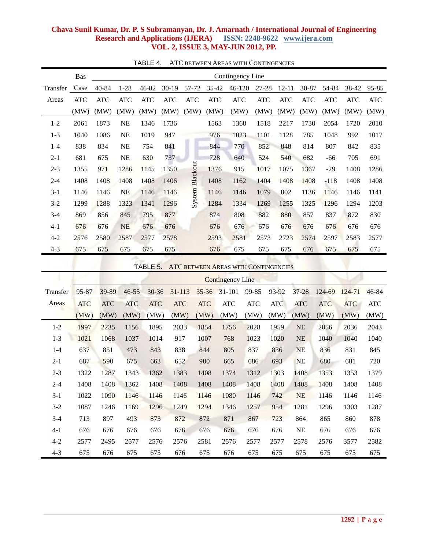|          | <b>Bas</b>                                              | Contingency Line |            |            |            |            |            |                         |            |            |            |            |            |            |            |
|----------|---------------------------------------------------------|------------------|------------|------------|------------|------------|------------|-------------------------|------------|------------|------------|------------|------------|------------|------------|
| Transfer | Case                                                    | 40-84            | $1 - 28$   | 46-82      | $30-19$    | 57-72      | 35-42      | $46 - 120$              |            | 27-28      | $12 - 11$  | 30-87      | 54-84      | 38-42      | 95-85      |
| Areas    | ATC                                                     | <b>ATC</b>       | <b>ATC</b> | <b>ATC</b> | <b>ATC</b> | $\rm{ATC}$ | <b>ATC</b> | <b>ATC</b>              |            | <b>ATC</b> | <b>ATC</b> | <b>ATC</b> | <b>ATC</b> | <b>ATC</b> | $\rm{ATC}$ |
|          | (MW)                                                    | (MW)             | (MW)       | (MW)       | (MW)       | (MW)       | (MW)       | (MW)                    |            | (MW)       | (MW)       | (MW)       | (MW)       | (MW)       | (MW)       |
| $1 - 2$  | 2061                                                    | 1873             | <b>NE</b>  | 1346       | 1736       |            | 1563       | 1368                    |            | 1518       | 2217       | 1730       | 2054       | 1720       | 2010       |
| $1 - 3$  | 1040                                                    | 1086             | <b>NE</b>  | 1019       | 947        |            | 976        | 1023                    |            | 1101       | 1128       | 785        | 1048       | 992        | 1017       |
| $1-4$    | 838                                                     | 834              | <b>NE</b>  | 754        | 841        |            | 844        | 770                     |            | 852        | 848        | 814        | 807        | 842        | 835        |
| $2 - 1$  | 681                                                     | 675              | $\rm NE$   | 630        | 737        |            | 728        | 640                     |            | 524        | 540        | 682        | -66        | 705        | 691        |
| $2 - 3$  | 1355                                                    | 971              | 1286       | 1145       | 1350       | Blackout   | 1376       | 915                     |            | 1017       | 1075       | 1367       | $-29$      | 1408       | 1286       |
| $2 - 4$  | 1408                                                    | 1408             | 1408       | 1408       | 1406       |            | 1408       | 1162                    |            | 1404       | 1408       | 1408       | $-118$     | 1408       | 1408       |
| $3-1$    | 1146                                                    | 1146             | NE         | 1146       | 1146       | System     | 1146       | 1146                    |            | 1079       | 802        | 1136       | 1146       | 1146       | 1141       |
| $3 - 2$  | 1299                                                    | 1288             | 1323       | 1341       | 1296       |            | 1284       | 1334                    |            | 1269       | 1255       | 1325       | 1296       | 1294       | 1203       |
| $3-4$    | 869                                                     | 856              | 845        | 795        | 877        |            | 874        | 808                     |            | 882        | 880        | 857        | 837        | 872        | 830        |
| $4 - 1$  | 676                                                     | 676              | <b>NE</b>  | 676        | 676        |            | 676        | 676                     |            | 676        | 676        | 676        | 676        | 676        | 676        |
| $4 - 2$  | 2576                                                    | 2580             | 2587       | 2577       | 2578       |            | 2593       | 2581                    |            | 2573       | 2723       | 2574       | 2597       | 2583       | 2577       |
| $4 - 3$  | 675                                                     | 675              | 675        | 675        | 675        |            | 676        | 675                     |            | 675        | 675        | 676        | 675        | 675        | 675        |
|          | TABLE 5.<br><b>ATC BETWEEN AREAS WITH CONTINGENCIES</b> |                  |            |            |            |            |            |                         |            |            |            |            |            |            |            |
|          |                                                         |                  |            |            |            |            |            | <b>Contingency Line</b> |            |            |            |            |            |            |            |
| Transfer | 95-87                                                   | 39-89            | $46 - 55$  | $30 - 36$  | 31-113     |            | $35 - 36$  | 31-101                  | 99-85      |            | 93-92      | $37 - 28$  | 124-69     | 124-71     | 46-84      |
| Areas    | <b>ATC</b>                                              | <b>ATC</b>       | <b>ATC</b> | <b>ATC</b> | <b>ATC</b> |            | <b>ATC</b> | $\rm{ATC}$              | $\rm{ATC}$ |            | <b>ATC</b> | <b>ATC</b> | <b>ATC</b> | <b>ATC</b> | $\rm{ATC}$ |
|          | (MW)                                                    | (MW)             | (MW)       | (MW)       | (MW)       |            | (MW)       | (MW)                    | (MW)       |            | (MW)       | (MW)       | (MW)       | (MW)       | (MW)       |
| $1 - 2$  | 1997                                                    | 2235             | 1156       | 1895       | 2033       |            | 1854       | 1756                    | 2028       |            | 1959       | <b>NE</b>  | 2056       | 2036       | 2043       |
| $1 - 3$  | 1021                                                    | 1068             | 1037       | 1014       | 917        |            | 1007       | 768                     | 1023       |            | 1020       | NE         | 1040       | 1040       | 1040       |
| $1-4$    | 637                                                     | 851              | 473        | 843        | 838        |            | 844        | 805                     | 837        |            | 836        | <b>NE</b>  | 836        | 831        | 845        |
| $2 - 1$  | 687                                                     | 590              | 675        | 663        | 652        |            | 900        | 665                     | 686        |            | 693        | <b>NE</b>  | 680        | 681        | 720        |
| $2 - 3$  | 1322                                                    | 1287             | 1343       | 1362       | 1383       |            | 1408       | 1374                    | 1312       |            | 1303       | 1408       | 1353       | 1353       | 1379       |
| $2 - 4$  | 1408                                                    | 1408             | 1362       | 1408       | 1408       |            | 1408       | 1408                    | 1408       |            | 1408       | 1408       | 1408       | 1408       | 1408       |
| $3-1$    | 1022                                                    | 1090             | 1146       | 1146       | 1146       |            | 1146       | 1080                    | 1146       |            | 742        | NE         | 1146       | 1146       | 1146       |
| $3-2$    | 1087                                                    | 1246             | 1169       | 1296       | 1249       |            | 1294       | 1346                    | 1257       |            | 954        | 1281       | 1296       | 1303       | 1287       |
| $3-4$    | 713                                                     | 897              | 493        | 873        | 872        |            | 872        | 871                     | 867        |            | 723        | 864        | 865        | 860        | 878        |
| $4-1$    | 676                                                     | 676              | 676        | 676        | 676        |            | 676        | 676                     | 676        |            | 676        | NE         | 676        | 676        | 676        |
| $4 - 2$  | 2577                                                    | 2495             | 2577       | 2576       | 2576       |            | 2581       | 2576                    | 2577       |            | 2577       | 2578       | 2576       | 3577       | 2582       |
| $4 - 3$  | 675                                                     | 676              | 675        | 675        | 676        |            | 675        | 676                     | 675        |            | 675        | 675        | 675        | 675        | 675        |

TABLE 4. ATC BETWEEN AREAS WITH CONTINGENCIES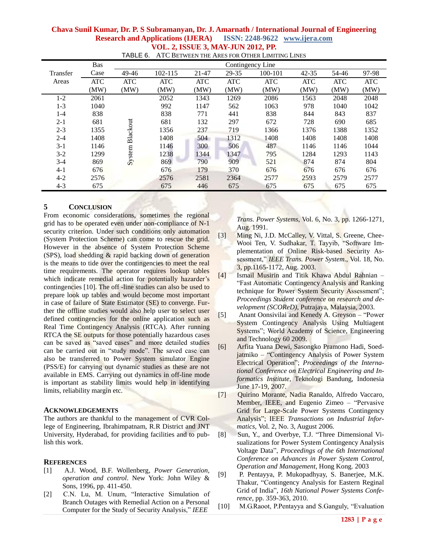| Chava Sunil Kumar, Dr. P. S Subramanyan, Dr. J. Amarnath / International Journal of Engineering |  |  |
|-------------------------------------------------------------------------------------------------|--|--|
| <b>Research and Applications (IJERA)</b> ISSN: 2248-9622 www.ijera.com                          |  |  |
| <b>VOL. 2, ISSUE 3, MAY-JUN 2012, PP.</b>                                                       |  |  |

|          | <b>Bas</b> |            |            |            |            | Contingency Line |            |            |            |
|----------|------------|------------|------------|------------|------------|------------------|------------|------------|------------|
| Transfer | Case       | 49-46      | 102-115    | $21 - 47$  | 29-35      | 100-101          | $42 - 35$  | 54-46      | 97-98      |
| Areas    | <b>ATC</b> | <b>ATC</b> | <b>ATC</b> | <b>ATC</b> | <b>ATC</b> | <b>ATC</b>       | <b>ATC</b> | <b>ATC</b> | <b>ATC</b> |
|          | (MW)       | (MW)       | (MW)       | (MW)       | (MW)       | (MW)             | (MW)       | (MW)       | (MW)       |
| $1 - 2$  | 2061       |            | 2052       | 1343       | 1269       | 2086             | 1563       | 2048       | 2048       |
| $1 - 3$  | 1040       |            | 992        | 1147       | 562        | 1063             | 978        | 1040       | 1042       |
| $1 - 4$  | 838        |            | 838        | 771        | 441        | 838              | 844        | 843        | 837        |
| $2 - 1$  | 681        |            | 681        | 132        | 297        | 672              | 728        | 690        | 685        |
| $2 - 3$  | 1355       |            | 1356       | 237        | 719        | 1366             | 1376       | 1388       | 1352       |
| $2 - 4$  | 1408       | Blackout   | 1408       | 504        | 1312       | 1408             | 1408       | 1408       | 1408       |
| $3-1$    | 1146       |            | 1146       | 300        | 506        | 487              | 1146       | 1146       | 1044       |
| $3 - 2$  | 1299       |            | 1238       | 1344       | 1347       | 795              | 1284       | 1293       | 1143       |
| $3-4$    | 869        | System     | 869        | 790        | 909        | 521              | 874        | 874        | 804        |
| $4 - 1$  | 676        |            | 676        | 179        | 370        | 676              | 676        | 676        | 676        |
| $4 - 2$  | 2576       |            | 2576       | 2581       | 2364       | 2577             | 2593       | 2579       | 2577       |
| $4 - 3$  | 675        |            | 675        | 446        | 675        | 675              | 675        | 675        | 675        |

TABLE 6. ATC BETWEEN THE ARES FOR OTHER LIMITING LINES

### **5 CONCLUSION**

From economic considerations, sometimes the regional grid has to be operated even under non-compliance of N-1 security criterion. Under such conditions only automation (System Protection Scheme) can come to rescue the grid. However in the absence of System Protection Scheme (SPS), load shedding & rapid backing down of generation is the means to tide over the contingencies to meet the real time requirements. The operator requires lookup tables which indicate remedial action for potentially hazarder's contingencies [10]. The off -line studies can also be used to prepare look up tables and would become most important in case of failure of State Estimator (SE) to converge. Further the offline studies would also help user to select user defined contingencies for the online application such as Real Time Contingency Analysis (RTCA). After running RTCA the SE outputs for those potentially hazardous cases can be saved as "saved cases" and more detailed studies can be carried out in "study mode". The saved case can also be transferred to Power System simulator Engine (PSS/E) for carrying out dynamic studies as these are not available in EMS. Carrying out dynamics in off-line mode is important as stability limits would help in identifying limits, reliability margin etc.

### **ACKNOWLEDGEMENTS**

The authors are thankful to the management of CVR College of Engineering, Ibrahimpatnam, R.R District and JNT University, Hyderabad, for providing facilities and to publish this work.

### **REFERENCES**

- [1] A.J. Wood, B.F. Wollenberg*, Power Generation, operation and control*. New York: John Wiley & Sons, 1996, pp. 411-450.
- [2] C.N. Lu, M. Unum, "Interactive Simulation of Branch Outages with Remedial Action on a Personal Computer for the Study of Security Analysis," *IEEE*

*Trans. Power Systems*, Vol. 6, No. 3, pp. 1266-1271, Aug. 1991.

- [3] Ming Ni, J.D. McCalley, V. Vittal, S. Greene, Chee-Wooi Ten, V. Sudhakar, T. Tayyib, "Software Implementation of Online Risk-based Security Assessment," *IEEE Trans. Power System.*, Vol. 18, No. 3, pp.1165-1172, Aug. 2003.
- [4] Ismail Musirin and Titik Khawa Abdul Rahnian ―Fast Automatic Contingency Analysis and Ranking technique for Power System Security Assessment"; *Proceedings Student conference on research and development (SCOReD)*, Putrajaya, Malaysia, 2003.
- [5] Anant Oonsivilai and Kenedy A. Greyson "Power" System Contingency Analysis Using Multiagent Systems"; World Academy of Science, Engineering and Technology 60 2009.
- [6] Arfita Yuana Dewi, Sasongko Pramono Hadi, Soedjatmiko – "Contingency Analysis of Power System Electrical Operation"; *Proceedings of the International Conference on Electrical Engineering and Informatics Institute,* Teknologi Bandung, Indonesia June 17-19, 2007.
- [7] Quirino Morante, Nadia Ranaldo, Alfredo Vaccaro, Member, IEEE, and Eugenio Zimeo – "Pervasive" Grid for Large-Scale Power Systems Contingency Analysis"; IEEE *Transactions on Industrial Informatics,* Vol. 2, No. 3, August 2006*.*
- [8] Sun, Y., and Overbye, T.J. "Three Dimensional Visualizations for Power System Contingency Analysis Voltage Data‖, *Proceedings of the 6th International Conference on Advances in Power System Control, Operation and Management*, Hong Kong. 2003
- [9] P. Pentayya, P. Mukopadhyay, S. Banerjee, M.K. Thakur, "Contingency Analysis for Eastern Reginal Grid of India", 16th National Power Systems Confe*rence*, pp. 359-363, 2010.
- [10] M.G.Raoot, P.Pentayya and S.Ganguly, "Evaluation"